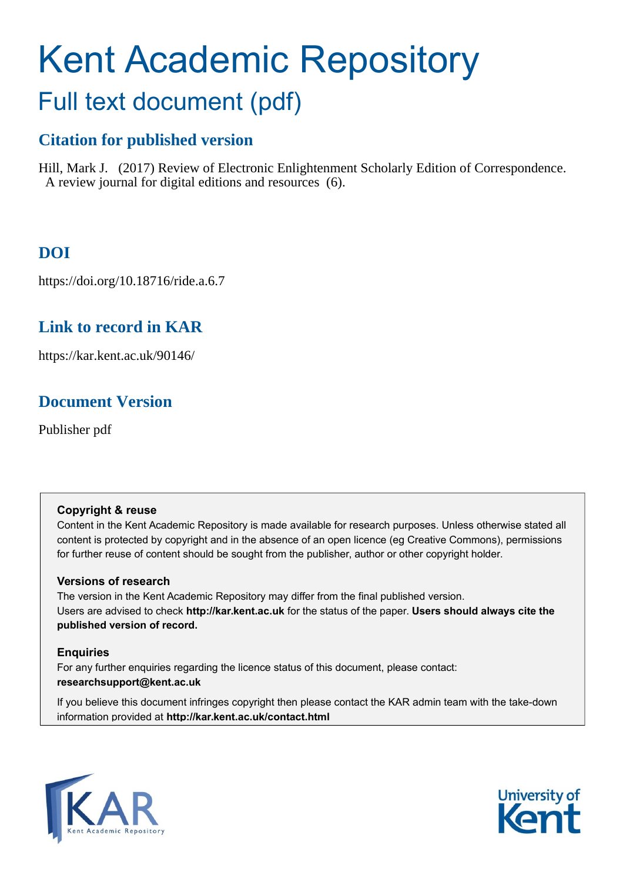# Kent Academic Repository Full text document (pdf)

### **Citation for published version**

Hill, Mark J. (2017) Review of Electronic Enlightenment Scholarly Edition of Correspondence. A review journal for digital editions and resources (6).

### **DOI**

https://doi.org/10.18716/ride.a.6.7

### **Link to record in KAR**

https://kar.kent.ac.uk/90146/

### **Document Version**

Publisher pdf

#### **Copyright & reuse**

Content in the Kent Academic Repository is made available for research purposes. Unless otherwise stated all content is protected by copyright and in the absence of an open licence (eg Creative Commons), permissions for further reuse of content should be sought from the publisher, author or other copyright holder.

#### **Versions of research**

The version in the Kent Academic Repository may differ from the final published version. Users are advised to check **http://kar.kent.ac.uk** for the status of the paper. **Users should always cite the published version of record.**

#### **Enquiries**

For any further enquiries regarding the licence status of this document, please contact: **researchsupport@kent.ac.uk**

If you believe this document infringes copyright then please contact the KAR admin team with the take-down information provided at **http://kar.kent.ac.uk/contact.html**



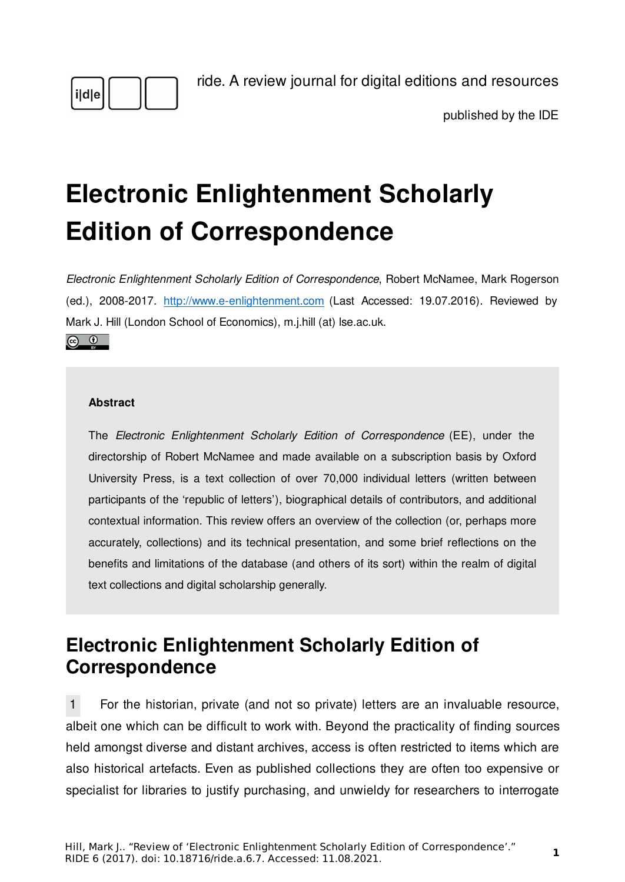

[ride. A review journal for digital editions and resources](https://ride.i-d-e.de/)

published by the [IDE](https://www.i-d-e.de/)

# **Electronic Enlightenment Scholarly Edition of Correspondence**

*Electronic Enlightenment Scholarly Edition of Correspondence*, Robert McNamee, Mark Rogerson (ed.), 2008-2017. <http://www.e-enlightenment.com>(Last Accessed: 19.07.2016). Reviewed by Mark J. Hill (London School of Economics), m.j.hill (at) lse.ac.uk.  $\circledcirc$   $\circledcirc$ 

#### **Abstract**

The *Electronic Enlightenment Scholarly Edition of Correspondence* (EE), under the directorship of Robert McNamee and made available on a subscription basis by Oxford University Press, is a text collection of over 70,000 individual letters (written between participants of the 'republic of letters'), biographical details of contributors, and additional contextual information. This review offers an overview of the collection (or, perhaps more accurately, collections) and its technical presentation, and some brief reflections on the benefits and limitations of the database (and others of its sort) within the realm of digital text collections and digital scholarship generally.

## **Electronic Enlightenment Scholarly Edition of Correspondence**

1 For the historian, private (and not so private) letters are an invaluable resource, albeit one which can be difficult to work with. Beyond the practicality of finding sources held amongst diverse and distant archives, access is often restricted to items which are also historical artefacts. Even as published collections they are often too expensive or specialist for libraries to justify purchasing, and unwieldy for researchers to interrogate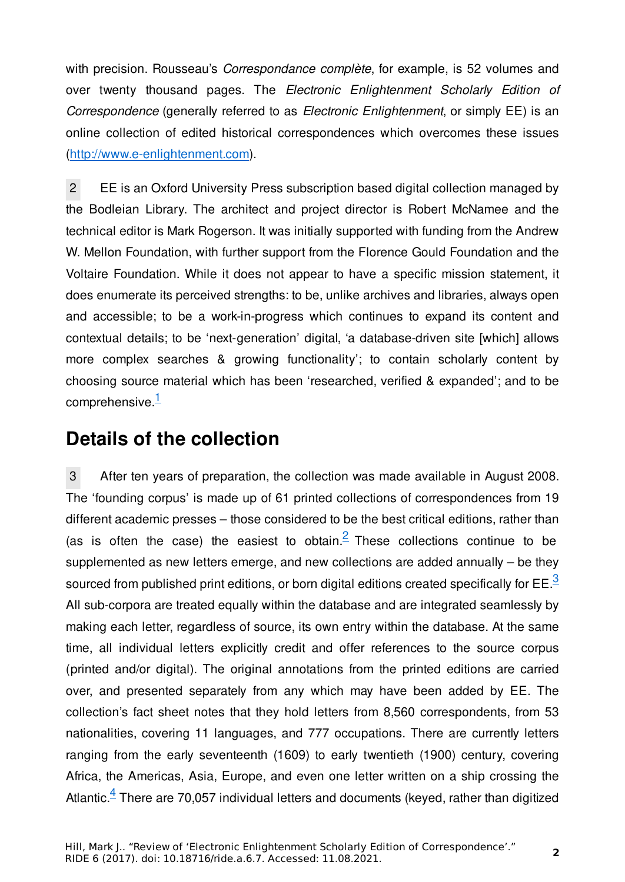with precision. Rousseau's *Correspondance complète*, for example, is 52 volumes and over twenty thousand pages. The *Electronic Enlightenment Scholarly Edition of Correspondence* (generally referred to as *Electronic Enlightenment*, or simply EE) is an online collection of edited historical correspondences which overcomes these issues [\(http://www.e-enlightenment.com](http://www.e-enlightenment.com)).

2 EE is an Oxford University Press subscription based digital collection managed by the Bodleian Library. The architect and project director is Robert McNamee and the technical editor is Mark Rogerson. It was initially supported with funding from the Andrew W. Mellon Foundation, with further support from the Florence Gould Foundation and the Voltaire Foundation. While it does not appear to have a specific mission statement, it does enumerate its perceived strengths: to be, unlike archives and libraries, always open and accessible; to be a work-in-progress which continues to expand its content and contextual details; to be 'next-generation' digital, 'a database-driven site [which] allows more complex searches & growing functionality'; to contain scholarly content by choosing source material which has been 'researched, verified & expanded'; and to be comprehensive. $\frac{1}{2}$ 

## **Details of the collection**

3 After ten years of preparation, the collection was made available in August 2008. The 'founding corpus' is made up of 61 printed collections of correspondences from 19 different academic presses – those considered to be the best critical editions, rather than (as is often the case) the easiest to obtain. <sup>2</sup> These collections continue to be supplemented as new letters emerge, and new collections are added annually – be they sourced from published print editions, or born digital editions created specifically for  $EE<sup>3</sup>$ All sub-corpora are treated equally within the database and are integrated seamlessly by making each letter, regardless of source, its own entry within the database. At the same time, all individual letters explicitly credit and offer references to the source corpus (printed and/or digital). The original annotations from the printed editions are carried over, and presented separately from any which may have been added by EE. The collection's fact sheet notes that they hold letters from 8,560 correspondents, from 53 nationalities, covering 11 languages, and 777 occupations. There are currently letters ranging from the early seventeenth (1609) to early twentieth (1900) century, covering Africa, the Americas, Asia, Europe, and even one letter written on a ship crossing the Atlantic. $4$  There are 70,057 individual letters and documents (keyed, rather than digitized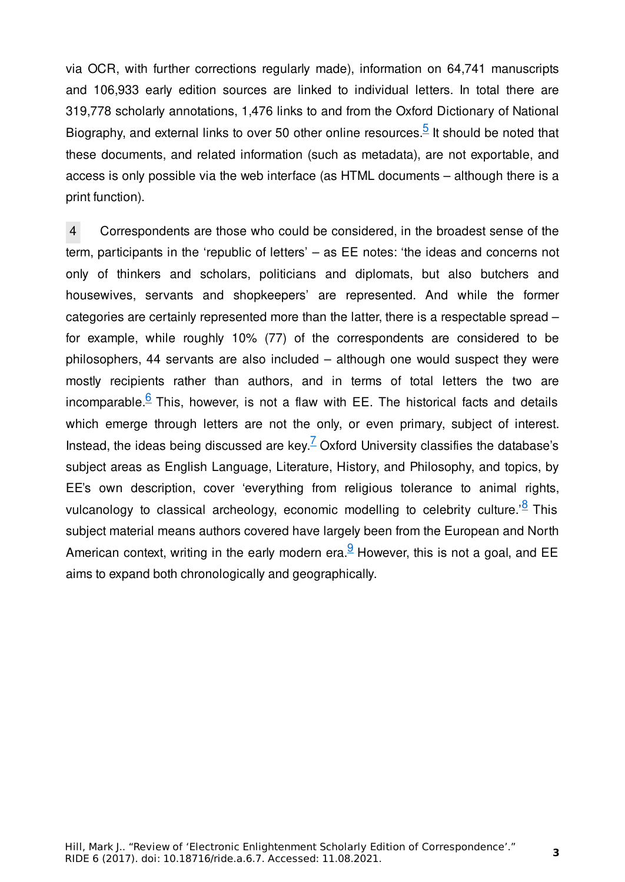via OCR, with further corrections regularly made), information on 64,741 manuscripts and 106,933 early edition sources are linked to individual letters. In total there are 319,778 scholarly annotations, 1,476 links to and from the Oxford Dictionary of National Biography, and external links to over 50 other online resources.<sup>5</sup> It should be noted that these documents, and related information (such as metadata), are not exportable, and access is only possible via the web interface (as HTML documents – although there is a print function).

4 Correspondents are those who could be considered, in the broadest sense of the term, participants in the 'republic of letters' – as EE notes: 'the ideas and concerns not only of thinkers and scholars, politicians and diplomats, but also butchers and housewives, servants and shopkeepers' are represented. And while the former categories are certainly represented more than the latter, there is a respectable spread – for example, while roughly 10% (77) of the correspondents are considered to be philosophers, 44 servants are also included – although one would suspect they were mostly recipients rather than authors, and in terms of total letters the two are incomparable. $6$  This, however, is not a flaw with EE. The historical facts and details which emerge through letters are not the only, or even primary, subject of interest. Instead, the ideas being discussed are key.  $\angle$  Oxford University classifies the database's subject areas as English Language, Literature, History, and Philosophy, and topics, by EE's own description, cover 'everything from religious tolerance to animal rights, vulcanology to classical archeology, economic modelling to celebrity culture.<sup>'8</sup> This subject material means authors covered have largely been from the European and North American context, writing in the early modern era. <sup>9</sup> However, this is not a goal, and EE aims to expand both chronologically and geographically.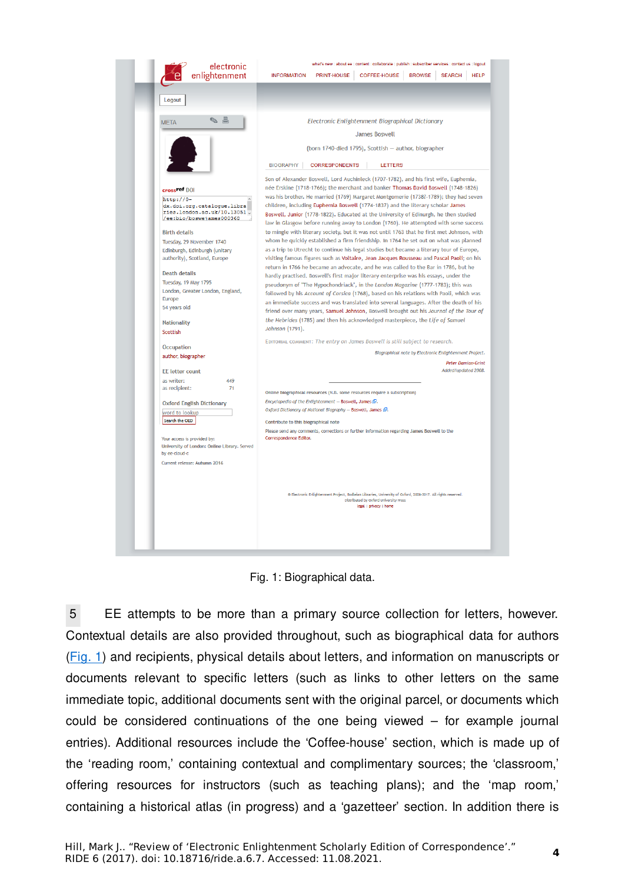

Fig. 1: Biographical data.

5 EE attempts to be more than a primary source collection for letters, however. Contextual details are also provided throughout, such as biographical data for authors (Fig. 1) and recipients, physical details about letters, and information on manuscripts or documents relevant to specific letters (such as links to other letters on the same immediate topic, additional documents sent with the original parcel, or documents which could be considered continuations of the one being viewed – for example journal entries). Additional resources include the 'Coffee-house' section, which is made up of the 'reading room,' containing contextual and complimentary sources; the 'classroom,' offering resources for instructors (such as teaching plans); and the 'map room,' containing a historical atlas (in progress) and a 'gazetteer' section. In addition there is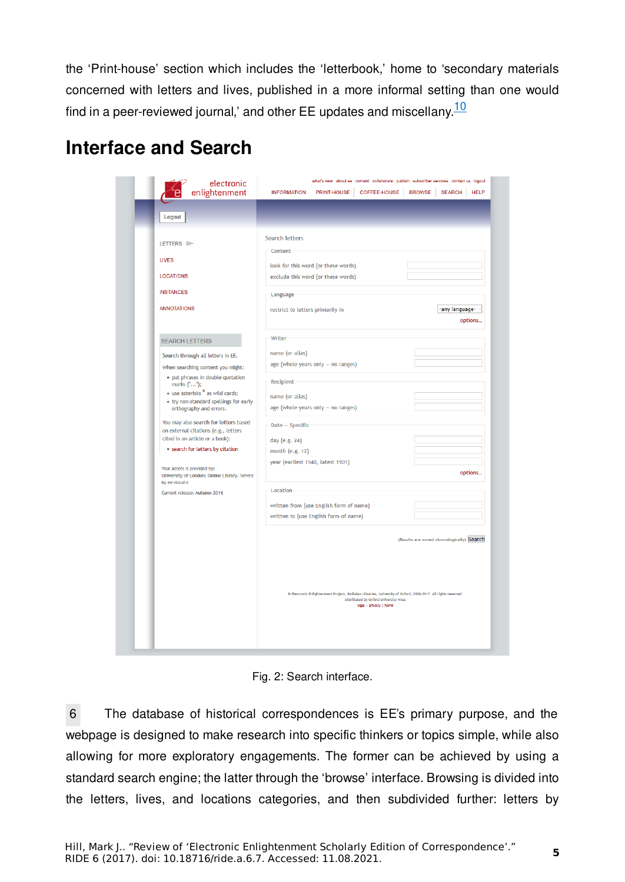the 'Print-house' section which includes the 'letterbook,' home to 'secondary materials concerned with letters and lives, published in a more informal setting than one would find in a peer-reviewed journal,' and other  $EE$  updates and miscellany. $\frac{10}{10}$ 

# **Interface and Search**

| enlightenment                                                                 | <b>INFORMATION</b><br>PRINT-HOUSE<br>COFFEE-HOUSE                                                                                                                                 | <b>BROWSE</b><br><b>SEARCH</b><br><b>HELP</b> |
|-------------------------------------------------------------------------------|-----------------------------------------------------------------------------------------------------------------------------------------------------------------------------------|-----------------------------------------------|
| Logout                                                                        |                                                                                                                                                                                   |                                               |
|                                                                               |                                                                                                                                                                                   |                                               |
| LETTERS $\blacktriangleright$                                                 | <b>Search letters</b>                                                                                                                                                             |                                               |
| <b>LIVES</b>                                                                  | Content                                                                                                                                                                           |                                               |
|                                                                               | look for this word (or these words)                                                                                                                                               |                                               |
| <b>LOCATIONS</b>                                                              | exclude this word (or these words)                                                                                                                                                |                                               |
| <b>INSTANCES</b>                                                              | Language                                                                                                                                                                          |                                               |
| <b>ANNOTATIONS</b>                                                            | restrict to letters primarily in                                                                                                                                                  | any language-                                 |
|                                                                               |                                                                                                                                                                                   | options                                       |
| <b>SEARCH LETTERS</b>                                                         | Writer                                                                                                                                                                            |                                               |
|                                                                               | name (or alias)                                                                                                                                                                   |                                               |
| Search through all letters in EE.<br>When searching content you might:        | age (whole years only - no ranges)                                                                                                                                                |                                               |
| · put phrases in double quotation                                             |                                                                                                                                                                                   |                                               |
| marks ("");<br>• use asterisks * as wild cards;                               | Recipient                                                                                                                                                                         |                                               |
| . try non-standard spellings for early                                        | name (or alias)<br>age (whole years only - no ranges)                                                                                                                             |                                               |
| orthography and errors.                                                       |                                                                                                                                                                                   |                                               |
| You may also search for letters based<br>on external citations (e.g., letters | Date - Specific                                                                                                                                                                   |                                               |
| cited in an article or a book):                                               | day (e.g. 24)                                                                                                                                                                     |                                               |
| · search for letters by citation                                              | month (e.g. 12)                                                                                                                                                                   |                                               |
| Your access is provided by:<br>University of London: Online Library. Served   | year (earliest 1540, latest 1901)                                                                                                                                                 | options                                       |
| by ee-cloud-c<br>Current release: Autumn 2016                                 | Location                                                                                                                                                                          |                                               |
|                                                                               | written from (use English form of name)                                                                                                                                           |                                               |
|                                                                               | written to (use English form of name)                                                                                                                                             |                                               |
|                                                                               | @ Electronic Enlightenment Project, Bodleian Libraries, University of Oxford, 2008-2017. All rights reserved.<br>Distributed by Oxford University Press<br>legal   privacy   home | (Results are sorted chronologically) Search   |

Fig. 2: Search interface.

6 The database of historical correspondences is EE's primary purpose, and the webpage is designed to make research into specific thinkers or topics simple, while also allowing for more exploratory engagements. The former can be achieved by using a standard search engine; the latter through the 'browse' interface. Browsing is divided into the letters, lives, and locations categories, and then subdivided further: letters by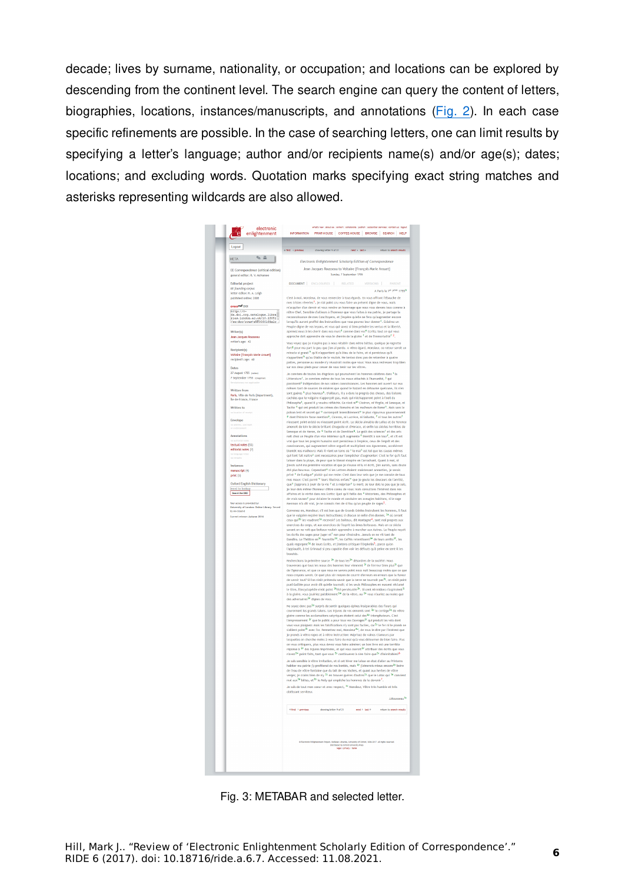decade; lives by surname, nationality, or occupation; and locations can be explored by descending from the continent level. The search engine can query the content of letters, biographies, locations, instances/manuscripts, and annotations (Fig. 2). In each case specific refinements are possible. In the case of searching letters, one can limit results by specifying a letter's language; author and/or recipients name(s) and/or age(s); dates; locations; and excluding words. Quotation marks specifying exact string matches and asterisks representing wildcards are also allowed.

| Logout                                                                                              | ring letter 9 of 21<br>next > tast ><br>im to search results                                                                                                                                                                                 |
|-----------------------------------------------------------------------------------------------------|----------------------------------------------------------------------------------------------------------------------------------------------------------------------------------------------------------------------------------------------|
| $\sim$ $\pm$<br><b>META</b>                                                                         | Electronic Enlightenment Scholarly Edition of Correspondence                                                                                                                                                                                 |
| EE Correspondence (critical edition)<br>general editor: R. V. McNamee                               | Jean Jacques Rousseau to Voltaire [François Marie Arouet]<br>Sunday, 7 September 1755                                                                                                                                                        |
| <b>Editorial project</b>                                                                            | DOCUMENT   ENCLOSURES  <br><b>RELATED</b><br><b>VERSIONS</b><br><b>PARENT</b>                                                                                                                                                                |
| EE founding corpus                                                                                  | A Paris le 7 <sup>e</sup> 7bre 1766b                                                                                                                                                                                                         |
| letter editor: R. A. Leigh<br>published online: 2008                                                | C'est à moi, Monsieur, de vous remercier à tous égards. En vous offrant l'ébauche de                                                                                                                                                         |
| cross of DOI                                                                                        | mes tristes réveries <sup>1</sup> , je n'ai point cru vous faire un présent digne de vous, mais                                                                                                                                              |
|                                                                                                     | m'acquiter d'un devoir et vous rendre un hommage que nous vous devons tous comme à<br>nôtre Chef. Sensible d'ailleurs à l'honneur que vous faites à ma patrie, je partage la                                                                 |
| http://0-<br>dx.doi.org.catalogue.libra<br>ries.london.ac.uk/10.13051<br>/ee:doc/rousieVF0030164alc | reconnoissance de mes Concitoyens, et j'espére qu'elle ne fera gu'augmenter encore                                                                                                                                                           |
|                                                                                                     | lorsqu'ils auront profité des instructions que vous pouvez leur donner <sup>c</sup> . Eclairez un<br>Peuple digne de vos leçons, et vous qui savez si bien peindre les vertus et la liberté,                                                 |
| Writer(s)                                                                                           | aprenez nous à les cherir dans nos murs <sup>d</sup> comme dans vos <sup>e</sup> Ecrits: tout ce qui vous                                                                                                                                    |
| Jean Jacques Rousseau<br>writer's age: 43                                                           | approche doit apprendre de vous le chemin de la gloire <sup>f</sup> et de l'immortalité <sup>f 2</sup> .<br>Vous voyez que je n'aspire pas à nous rétablir dans nôtre bétise, quoique je regrette                                            |
| Recipient(s)                                                                                        | fort <sup>g</sup> pour ma part le peu que j'en ai perdu. A vôtre égard, Monsieur, ce retour seroit un                                                                                                                                        |
| Voltaire [François Marie Arouet]                                                                    | miracle si grand <sup>h</sup> qu'il n'appartient qu'à Dieu de le faire, et si pernicieux qu'il<br>n'appartient <sup>h</sup> qu'au Diable de le vouloir. Ne tentez donc pas de retomber à quatre                                              |
| recipient's age: 60                                                                                 | pattes, personne au monde n'y réussiroit moins que vous: Vous nous redressez trop bien                                                                                                                                                       |
| Dates<br>27 August 1755 (autan)                                                                     | sur nos deux pieds pour cesser de vous tenir sur les vôtres.                                                                                                                                                                                 |
| 7 September 1755 (Gregorian)                                                                        | Je conviens de toutes les disgrâces qui poursuivent les hommes célébres dans <sup>1</sup> la<br>Litterature <sup>1</sup> . Je conviens même de tous les maux attachés à l'humanité, <sup>j</sup> qui                                         |
|                                                                                                     | paroissent <sup>1</sup> indépendans de nos vaines connoissances. Les hommes ont ouvert sur eux                                                                                                                                               |
| Written from                                                                                        | mêmes tant de sources de miséres que quand le hazard en détourne quelcune, ils n'en<br>sont guéres <sup>k</sup> plus heureux <sup>k</sup> . D'ailleurs, il y a dans le progrés des choses, des liaisc                                        |
| Paris, Ville de Paris (department),<br>Île-de-France, France                                        | cachées que le vulgaire n'apperçoit pas, mais qui n'échapperont point à l'oeil du                                                                                                                                                            |
| Written to                                                                                          | Philosophe <sup>1</sup> , quand il y voudra réfléchir. Ce n'est ni <sup>m</sup> Cicéron, ni Virgile, ni Seneque, ni<br>Tacite <sup>n</sup> qui ont produit les crimes des Romains et les malheurs de Rome <sup>n</sup> . Mais sans le        |
|                                                                                                     | poison lent et secret qui <sup>o</sup> corrompoit insensiblement <sup>o</sup> le plus vigoureux gouvernement                                                                                                                                 |
| Envelope                                                                                            | P dont Thistoire fasse mention <sup>p</sup> , Ciceron, ni Lucrèce, ni Salluste, <sup>f</sup> ni tous les autres <sup>f</sup><br>n'eussent point existé ou n'eussent point écrit. Le siècle aimable de Lelius et de Terence                   |
|                                                                                                     | amenoit de loin le siècle brillant d'Auguste et d'Horace, et enfin les siècles horribles de                                                                                                                                                  |
| Annotations                                                                                         | Seneque et de Neron, de <sup>q</sup> Tacite et de Domitien <sup>q</sup> . Le goût des sciences <sup>r</sup> et des arts<br>naît chez un Peuple d'un vice intérieur qu'il augmente <sup>f</sup> bientôt à son tour <sup>f</sup> , et s'il est |
| textual notes (55)                                                                                  | vrai que tous les progrés humains sont pernicieux à l'espéce, ceux de l'esprit et des                                                                                                                                                        |
| editorial notes (7)                                                                                 | conoissances, qui augmentent nôtre orgueil et multiplient nos égaremens, accélérent<br>bientôt nos malheurs: Mais il vient un tems où <sup>5</sup> le mal <sup>t</sup> est tel que les causes mêmes                                          |
|                                                                                                     | qui l'ont fait naitre <sup>s</sup> sont necessaires pour l'empêcher d'augmenter: C'est le fer qu'il faut                                                                                                                                     |
| Instances                                                                                           | laisser dans la playe, de peur que le blessé n'expire en l'arrachant. Quant à moi, si<br>j'avois suivi ma prémiére vocation et que je n'eusse ni lu ni écrit, j'en aurois, sans doute                                                        |
| manuscript (4)                                                                                      | été plus heureux. Cependant <sup>u</sup> si les Lettres étoient maintenant aneanties, je serois                                                                                                                                              |
| print(3)                                                                                            | privé <sup>v</sup> de l'unique <sup>v</sup> plaisir qui me reste: C'est dans leur sein que je me console de tous<br>mes maux: C'est parmi <sup>w</sup> leurs illustres enfans <sup>w</sup> que je goute les douceurs de l'amitié,            |
| <b>Oxford English Dictionary</b><br>word to lookup                                                  | que <sup>x</sup> j'apprens à jouïr de la vie <sup>y</sup> et à mépriser <sup>y</sup> la mort; Je leur dois le peu que je suis,<br>je leur dols même l'honneur d'être connu de vous: Mais consultons l'intérest dans nos                      |
| Search the OED                                                                                      | affaires et la vérité dans nos Ecrits: Quoi qu'il faille des <sup>z</sup> Historiens, des Philosophes et                                                                                                                                     |
| Your access is provided by:                                                                         | de vrais savans <sup>2</sup> pour éclairer le monde et conduire ses aveugles habitans, si le sage<br>Memnon m'a dit vrai, je ne connois rien de si fou qu'un peuple de sages <sup>3</sup>                                                    |
| University of London: Online Library. Served<br>by ee-cloud-d                                       | Convenez en, Monsieur; s'il est bon que de Grands Génies instruisent les hommes, il faut                                                                                                                                                     |
| Current release: Autumn 2016                                                                        | que le vulgaire reçoive leurs instructions; si chacun se mêle d'en donner, <sup>2a</sup> où seront                                                                                                                                           |
|                                                                                                     | ceux qui <sup>26</sup> les voudront <sup>2a</sup> recevoir? Les boîteux, dit Montagne <sup>4</sup> , sont mal propres aux<br>exercices du corps, et aux exercices de l'esprit les âmes boiteuses. Mais en ce siècle                          |
|                                                                                                     | savant on ne voit que boiteux vouloir apprendre à marcher aux Autres. Le Peuple reçoit                                                                                                                                                       |
|                                                                                                     | les écrits des sages pour juger et <sup>f</sup> non pour s'instruire. Jamais on ne vit tant de<br>Dandins. Le Théâtre en <sup>2c</sup> fourmille <sup>2d</sup> , les Caffés retentissent <sup>2e</sup> de leurs arrêts <sup>2f</sup> , les   |
|                                                                                                     | quais regorgent <sup>2</sup> <sup>e</sup> de leurs Ecrits, et j'entens critiquer l'Orphelin <sup>5</sup> , parce qu'on<br>l'applaudit, à tel Grimaud si peu capable d'en voir les défauts qu'à peine en sent-il les                          |
|                                                                                                     | beautés.<br>Recherchons la prémière source <sup>2h</sup> de tous les <sup>2h</sup> désordres de la société: Nous                                                                                                                             |
|                                                                                                     | trouverons que tous les maux des hommes leur viennent 21 de l'erreur bien plus <sup>21</sup> que                                                                                                                                             |
|                                                                                                     | de l'Ignorance, et que ce que nous ne savons point nous nuit beaucoup moins que ce que<br>nous croyons savoir. Or quel plus sûr moyen de courrir d'erreurs en erreurs que la fureur                                                          |
|                                                                                                     | de savoir tout? Si l'on n'eût prétendu savoir que la terre ne tournoit pas <sup>2)</sup> , on n'eût point                                                                                                                                    |
|                                                                                                     | puni Galilée pour avoir dit qu'elle tournoit; si les seuls Philosophes en eussent réclamé<br>le titre, l'Encyclopédie n'eût point 28 été persécutée 28. Si cent Mirmidons n'aspiroient 21                                                    |
|                                                                                                     | à la gloire, vous jouiriez paisiblement 2m de la vôtre, ou 2n vous n'auriez au moins que                                                                                                                                                     |
|                                                                                                     | des adversaires <sup>2n</sup> dignes de vous.                                                                                                                                                                                                |
|                                                                                                     | Ne soyez donc pas <sup>20</sup> surpris de sentir quelques épines inséparables des fleurs qui<br>couronnent les grands talens. Les injures de vos ennemis sont <sup>2p</sup> le cortège <sup>2q</sup> de vôtre                               |
|                                                                                                     | gloire comme les acclamations satyriques étoient celui des <sup>2p</sup> triomphateurs. C'est<br>l'empressement 2 <sup>r</sup> que le public a pour tous vos Ouvrages <sup>2r</sup> qui produit les vols dont                                |
|                                                                                                     | vous vous plaignez: Mais les falsifications n'y sont pas faciles, car <sup>2s</sup> le fer ni le plomb ne                                                                                                                                    |
|                                                                                                     | s'allient point <sup>21</sup> avec l'or. Permettez moi, Monsieur <sup>20</sup> , de vous le dire par l'intérest que<br>le prends à vôtre repos et à nôtre instruction: Méprisez de vaines Clameurs par                                       |
|                                                                                                     | lesquelles on cherche moins à vous faire du mal gu'à vous détourner de bien faire. Plus                                                                                                                                                      |
|                                                                                                     | on vous critiquera, plus vous devez vous faire admirer; un bon livre est une terrible<br>réponse à <sup>2v</sup> des injures imprimées, et qui vous oseroit <sup>2v</sup> attribuer des écrits que vous                                      |
|                                                                                                     | n'avez <sup>2w</sup> point faits, tant que vous <sup>2x</sup> continuerez à n'en faire que <sup>2x</sup> d'inimitables? <sup>6</sup>                                                                                                         |
|                                                                                                     | e suis sensible à vôtre invitation, et si cet hiver me laisse en état d'aller au Printems                                                                                                                                                    |
|                                                                                                     | habiter ma patrie j'y profiterai de vos bontés, mais <sup>2y</sup> j'aimerois mieux encore <sup>2y</sup> boire<br>de l'eau de vôtre fontaine que du lait de vos Vaches, et quant aux herbes de vôtre                                         |
|                                                                                                     | verger, je crains blen de n'y <sup>22</sup> en trouver guéres d'autres <sup>22</sup> que le Lotos qui <sup>38</sup> convient                                                                                                                 |
|                                                                                                     | mal aux <sup>38</sup> bêtes, et <sup>36</sup> le Moly qui empêche les hommes de le devenir <sup>7</sup> .                                                                                                                                    |
|                                                                                                     | Je suis de tout mon coeur et avec respect, <sup>3c</sup> Monsieur, Vôtre très humble et très                                                                                                                                                 |
|                                                                                                     | JJRousseau <sup>3c</sup>                                                                                                                                                                                                                     |
|                                                                                                     |                                                                                                                                                                                                                                              |
|                                                                                                     | showing letter 9 of 21<br>next > last ><br>return to search results                                                                                                                                                                          |
|                                                                                                     |                                                                                                                                                                                                                                              |
|                                                                                                     | rsity of Oxford, 2008-2017. All rights rese<br><b>Clectronic Enlight</b>                                                                                                                                                                     |
|                                                                                                     | Distributed by Oxford University Press<br>tegal   privacy   home                                                                                                                                                                             |
|                                                                                                     |                                                                                                                                                                                                                                              |

Fig. 3: METABAR and selected letter.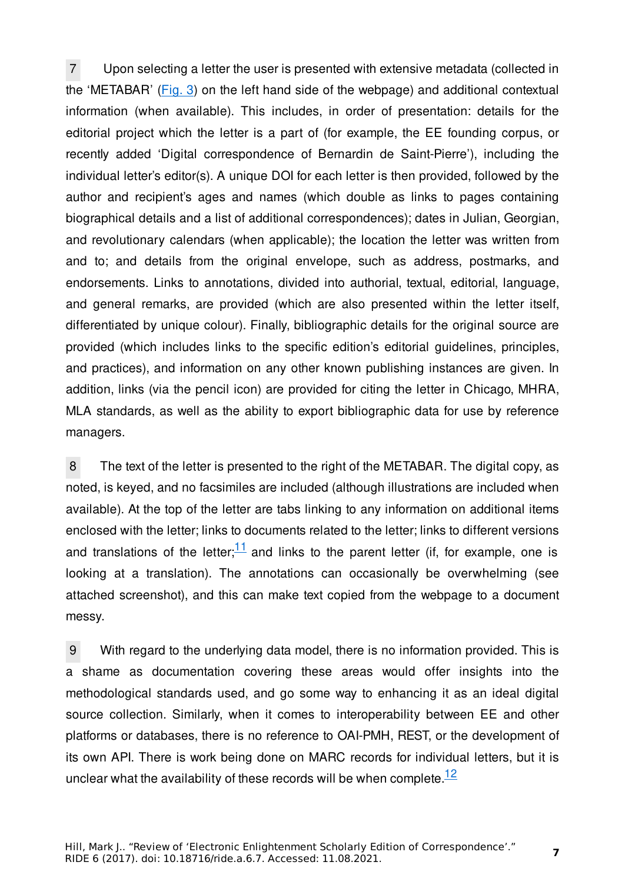7 Upon selecting a letter the user is presented with extensive metadata (collected in the 'METABAR' (Fig. 3) on the left hand side of the webpage) and additional contextual information (when available). This includes, in order of presentation: details for the editorial project which the letter is a part of (for example, the EE founding corpus, or recently added 'Digital correspondence of Bernardin de Saint-Pierre'), including the individual letter's editor(s). A unique DOI for each letter is then provided, followed by the author and recipient's ages and names (which double as links to pages containing biographical details and a list of additional correspondences); dates in Julian, Georgian, and revolutionary calendars (when applicable); the location the letter was written from and to; and details from the original envelope, such as address, postmarks, and endorsements. Links to annotations, divided into authorial, textual, editorial, language, and general remarks, are provided (which are also presented within the letter itself, differentiated by unique colour). Finally, bibliographic details for the original source are provided (which includes links to the specific edition's editorial guidelines, principles, and practices), and information on any other known publishing instances are given. In addition, links (via the pencil icon) are provided for citing the letter in Chicago, MHRA, MLA standards, as well as the ability to export bibliographic data for use by reference managers.

8 The text of the letter is presented to the right of the METABAR. The digital copy, as noted, is keyed, and no facsimiles are included (although illustrations are included when available). At the top of the letter are tabs linking to any information on additional items enclosed with the letter; links to documents related to the letter; links to different versions and translations of the letter; $\frac{11}{11}$  and links to the parent letter (if, for example, one is looking at a translation). The annotations can occasionally be overwhelming (see attached screenshot), and this can make text copied from the webpage to a document messy.

9 With regard to the underlying data model, there is no information provided. This is a shame as documentation covering these areas would offer insights into the methodological standards used, and go some way to enhancing it as an ideal digital source collection. Similarly, when it comes to interoperability between EE and other platforms or databases, there is no reference to OAI-PMH, REST, or the development of its own API. There is work being done on MARC records for individual letters, but it is unclear what the availability of these records will be when complete. $12$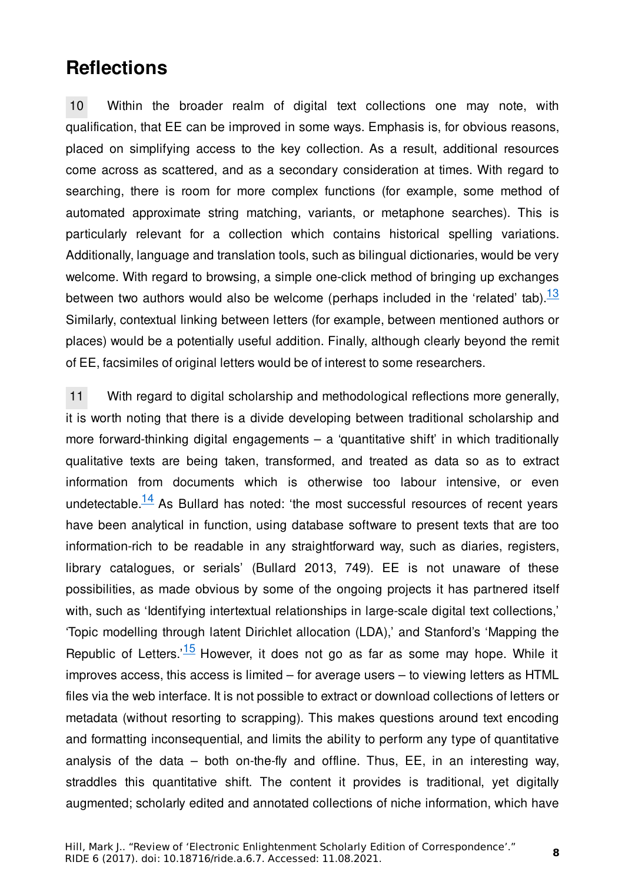## **Reflections**

10 Within the broader realm of digital text collections one may note, with qualification, that EE can be improved in some ways. Emphasis is, for obvious reasons, placed on simplifying access to the key collection. As a result, additional resources come across as scattered, and as a secondary consideration at times. With regard to searching, there is room for more complex functions (for example, some method of automated approximate string matching, variants, or metaphone searches). This is particularly relevant for a collection which contains historical spelling variations. Additionally, language and translation tools, such as bilingual dictionaries, would be very welcome. With regard to browsing, a simple one-click method of bringing up exchanges between two authors would also be welcome (perhaps included in the 'related' tab). $\frac{13}{1}$ Similarly, contextual linking between letters (for example, between mentioned authors or places) would be a potentially useful addition. Finally, although clearly beyond the remit of EE, facsimiles of original letters would be of interest to some researchers.

11 With regard to digital scholarship and methodological reflections more generally, it is worth noting that there is a divide developing between traditional scholarship and more forward-thinking digital engagements  $-$  a 'quantitative shift' in which traditionally qualitative texts are being taken, transformed, and treated as data so as to extract information from documents which is otherwise too labour intensive, or even undetectable. $14$  As Bullard has noted: 'the most successful resources of recent years have been analytical in function, using database software to present texts that are too information-rich to be readable in any straightforward way, such as diaries, registers, library catalogues, or serials' (Bullard 2013, 749). EE is not unaware of these possibilities, as made obvious by some of the ongoing projects it has partnered itself with, such as 'Identifying intertextual relationships in large-scale digital text collections,' 'Topic modelling through latent Dirichlet allocation (LDA),' and Stanford's 'Mapping the Republic of Letters.<sup>15</sup> However, it does not go as far as some may hope. While it improves access, this access is limited – for average users – to viewing letters as HTML files via the web interface. It is not possible to extract or download collections of letters or metadata (without resorting to scrapping). This makes questions around text encoding and formatting inconsequential, and limits the ability to perform any type of quantitative analysis of the data – both on-the-fly and offline. Thus, EE, in an interesting way, straddles this quantitative shift. The content it provides is traditional, yet digitally augmented; scholarly edited and annotated collections of niche information, which have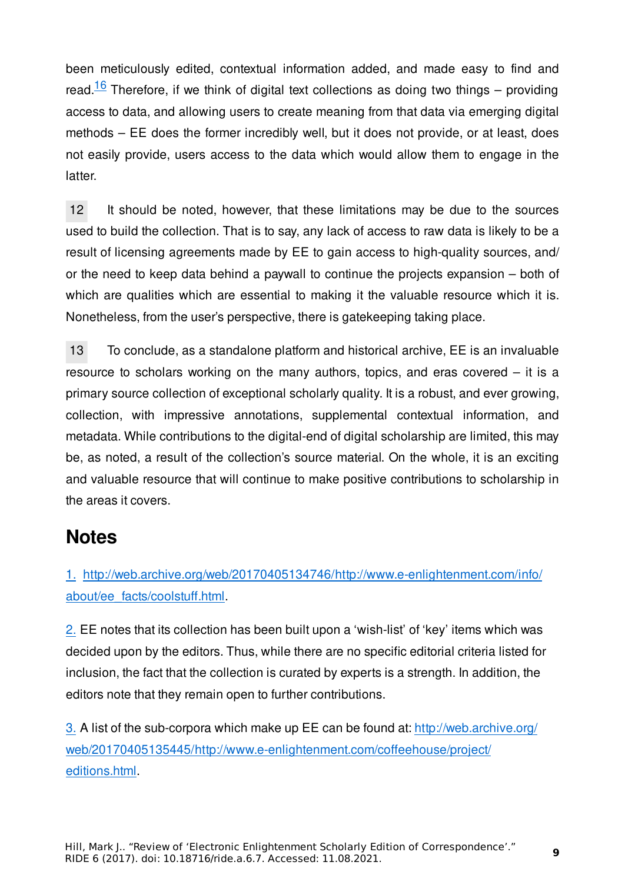been meticulously edited, contextual information added, and made easy to find and read.<sup>16</sup> Therefore, if we think of digital text collections as doing two things – providing access to data, and allowing users to create meaning from that data via emerging digital methods – EE does the former incredibly well, but it does not provide, or at least, does not easily provide, users access to the data which would allow them to engage in the latter.

12 It should be noted, however, that these limitations may be due to the sources used to build the collection. That is to say, any lack of access to raw data is likely to be a result of licensing agreements made by EE to gain access to high-quality sources, and/ or the need to keep data behind a paywall to continue the projects expansion – both of which are qualities which are essential to making it the valuable resource which it is. Nonetheless, from the user's perspective, there is gatekeeping taking place.

13 To conclude, as a standalone platform and historical archive, EE is an invaluable resource to scholars working on the many authors, topics, and eras covered – it is a primary source collection of exceptional scholarly quality. It is a robust, and ever growing, collection, with impressive annotations, supplemental contextual information, and metadata. While contributions to the digital-end of digital scholarship are limited, this may be, as noted, a result of the collection's source material. On the whole, it is an exciting and valuable resource that will continue to make positive contributions to scholarship in the areas it covers.

### **Notes**

1. [http://web.archive.org/web/20170405134746/http://www.e-enlightenment.com/info/](http://web.archive.org/web/20170405134746/http://www.e-enlightenment.com/info/about/ee_facts/coolstuff.html) [about/ee\\_facts/coolstu](http://web.archive.org/web/20170405134746/http://www.e-enlightenment.com/info/about/ee_facts/coolstuff.html)ff.html.

2. EE notes that its collection has been built upon a 'wish-list' of 'key' items which was decided upon by the editors. Thus, while there are no specific editorial criteria listed for inclusion, the fact that the collection is curated by experts is a strength. In addition, the editors note that they remain open to further contributions.

3. A list of the sub-corpora which make up EE can be found at: [http://web.archive.org/](http://web.archive.org/web/20170405135445/http://www.e-enlightenment.com/coffeehouse/project/editions.html) [web/20170405135445/http://www.e-enlightenment.com/co](http://web.archive.org/web/20170405135445/http://www.e-enlightenment.com/coffeehouse/project/editions.html)ffeehouse/project/ [editions.html](http://web.archive.org/web/20170405135445/http://www.e-enlightenment.com/coffeehouse/project/editions.html).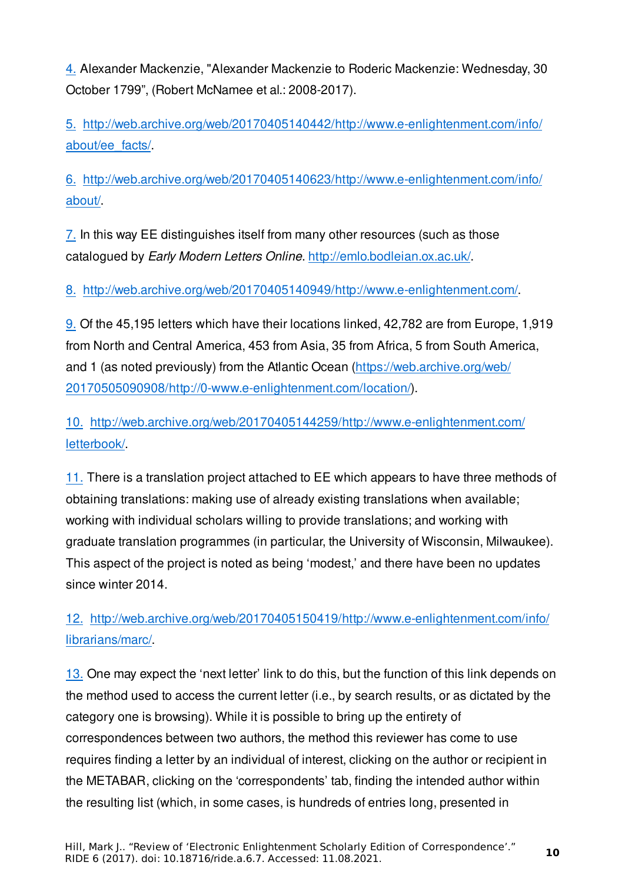4. Alexander Mackenzie, "Alexander Mackenzie to Roderic Mackenzie: Wednesday, 30 October 1799", (Robert McNamee et al.: 2008-2017).

5. [http://web.archive.org/web/20170405140442/http://www.e-enlightenment.com/info/](http://web.archive.org/web/20170405140442/http://www.e-enlightenment.com/info/about/ee_facts/) [about/ee\\_facts/.](http://web.archive.org/web/20170405140442/http://www.e-enlightenment.com/info/about/ee_facts/)

6. [http://web.archive.org/web/20170405140623/http://www.e-enlightenment.com/info/](http://web.archive.org/web/20170405140623/http://www.e-enlightenment.com/info/about/) [about/.](http://web.archive.org/web/20170405140623/http://www.e-enlightenment.com/info/about/)

7. In this way EE distinguishes itself from many other resources (such as those catalogued by *Early Modern Letters Online*.<http://emlo.bodleian.ox.ac.uk/>.

8. <http://web.archive.org/web/20170405140949/http://www.e-enlightenment.com/>.

9. Of the 45,195 letters which have their locations linked, 42,782 are from Europe, 1,919 from North and Central America, 453 from Asia, 35 from Africa, 5 from South America, and 1 (as noted previously) from the Atlantic Ocean ([https://web.archive.org/web/](https://web.archive.org/web/20170505090908/http://0-www.e-enlightenment.com/location/) [20170505090908/http://0-www.e-enlightenment.com/location/](https://web.archive.org/web/20170505090908/http://0-www.e-enlightenment.com/location/)).

10. [http://web.archive.org/web/20170405144259/http://www.e-enlightenment.com/](http://web.archive.org/web/20170405144259/http://www.e-enlightenment.com/letterbook/) [letterbook/.](http://web.archive.org/web/20170405144259/http://www.e-enlightenment.com/letterbook/)

11. There is a translation project attached to EE which appears to have three methods of obtaining translations: making use of already existing translations when available; working with individual scholars willing to provide translations; and working with graduate translation programmes (in particular, the University of Wisconsin, Milwaukee). This aspect of the project is noted as being 'modest,' and there have been no updates since winter 2014.

12. [http://web.archive.org/web/20170405150419/http://www.e-enlightenment.com/info/](http://web.archive.org/web/20170405150419/http://www.e-enlightenment.com/info/librarians/marc/) [librarians/marc/.](http://web.archive.org/web/20170405150419/http://www.e-enlightenment.com/info/librarians/marc/)

13. One may expect the 'next letter' link to do this, but the function of this link depends on the method used to access the current letter (i.e., by search results, or as dictated by the category one is browsing). While it is possible to bring up the entirety of correspondences between two authors, the method this reviewer has come to use requires finding a letter by an individual of interest, clicking on the author or recipient in the METABAR, clicking on the 'correspondents' tab, finding the intended author within the resulting list (which, in some cases, is hundreds of entries long, presented in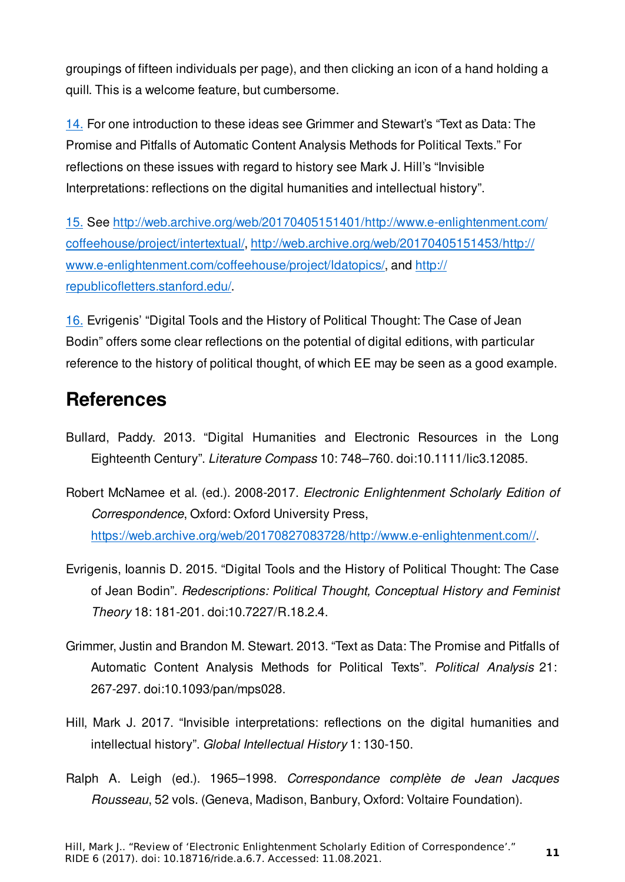groupings of fifteen individuals per page), and then clicking an icon of a hand holding a quill. This is a welcome feature, but cumbersome.

14. For one introduction to these ideas see Grimmer and Stewart's "Text as Data: The Promise and Pitfalls of Automatic Content Analysis Methods for Political Texts." For reflections on these issues with regard to history see Mark J. Hill's "Invisible Interpretations: reflections on the digital humanities and intellectual history".

15. See [http://web.archive.org/web/20170405151401/http://www.e-enlightenment.com/](http://web.archive.org/web/20170405151401/http://www.e-enlightenment.com/coffeehouse/project/intertextual/) coff[eehouse/project/intertextual/,](http://web.archive.org/web/20170405151401/http://www.e-enlightenment.com/coffeehouse/project/intertextual/) [http://web.archive.org/web/20170405151453/http://](http://web.archive.org/web/20170405151453/http://www.e-enlightenment.com/coffeehouse/project/ldatopics/) [www.e-enlightenment.com/co](http://web.archive.org/web/20170405151453/http://www.e-enlightenment.com/coffeehouse/project/ldatopics/)ffeehouse/project/ldatopics/, and [http://](http://republicofletters.stanford.edu/) republicofl[etters.stanford.edu/.](http://republicofletters.stanford.edu/)

16. Evrigenis' "Digital Tools and the History of Political Thought: The Case of Jean Bodin" offers some clear reflections on the potential of digital editions, with particular reference to the history of political thought, of which EE may be seen as a good example.

# **References**

- Bullard, Paddy. 2013. "Digital Humanities and Electronic Resources in the Long Eighteenth Century". *Literature Compass* 10: 748–760. doi:10.1111/lic3.12085.
- Robert McNamee et al. (ed.). 2008-2017. *Electronic Enlightenment Scholarly Edition of Correspondence*, Oxford: Oxford University Press, [https://web.archive.org/web/20170827083728/http://www.e-enlightenment.com//.](https://web.archive.org/web/20170827083728/http://www.e-enlightenment.com/)
- Evrigenis, Ioannis D. 2015. "Digital Tools and the History of Political Thought: The Case of Jean Bodin". *Redescriptions: Political Thought, Conceptual History and Feminist Theory* 18: 181-201. doi:10.7227/R.18.2.4.
- Grimmer, Justin and Brandon M. Stewart. 2013. "Text as Data: The Promise and Pitfalls of Automatic Content Analysis Methods for Political Texts". *Political Analysis* 21: 267-297. doi:10.1093/pan/mps028.
- Hill, Mark J. 2017. "Invisible interpretations: reflections on the digital humanities and intellectual history". *Global Intellectual History* 1: 130-150.
- Ralph A. Leigh (ed.). 1965–1998. *Correspondance complète de Jean Jacques Rousseau*, 52 vols. (Geneva, Madison, Banbury, Oxford: Voltaire Foundation).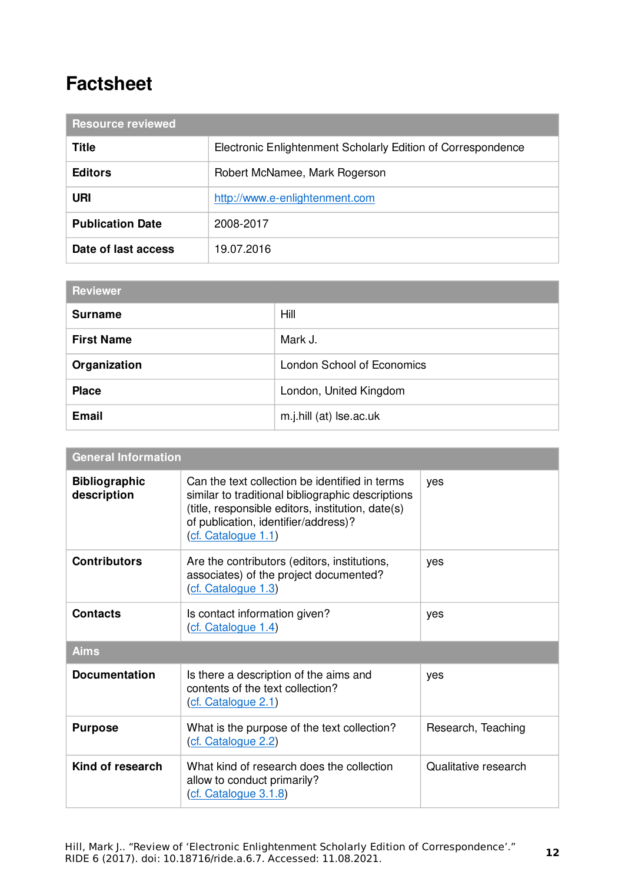# **Factsheet**

| <b>Resource reviewed</b> |                                                              |  |
|--------------------------|--------------------------------------------------------------|--|
| Title                    | Electronic Enlightenment Scholarly Edition of Correspondence |  |
| <b>Editors</b>           | Robert McNamee, Mark Rogerson                                |  |
| URI                      | http://www.e-enlightenment.com                               |  |
| <b>Publication Date</b>  | 2008-2017                                                    |  |
| Date of last access      | 19.07.2016                                                   |  |

| <b>Reviewer</b>   |                            |  |
|-------------------|----------------------------|--|
| <b>Surname</b>    | Hill                       |  |
| <b>First Name</b> | Mark J.                    |  |
| Organization      | London School of Economics |  |
| <b>Place</b>      | London, United Kingdom     |  |
| <b>Email</b>      | m.j.hill (at) Ise.ac.uk    |  |

| <b>General Information</b>          |                                                                                                                                                                                                                         |                      |  |
|-------------------------------------|-------------------------------------------------------------------------------------------------------------------------------------------------------------------------------------------------------------------------|----------------------|--|
| <b>Bibliographic</b><br>description | Can the text collection be identified in terms<br>similar to traditional bibliographic descriptions<br>(title, responsible editors, institution, date(s)<br>of publication, identifier/address)?<br>(cf. Catalogue 1.1) | yes                  |  |
| <b>Contributors</b>                 | Are the contributors (editors, institutions,<br>associates) of the project documented?<br>(cf. Catalogue 1.3)                                                                                                           | yes                  |  |
| <b>Contacts</b>                     | Is contact information given?<br>(cf. Catalogue 1.4)                                                                                                                                                                    | yes                  |  |
| <b>Aims</b>                         |                                                                                                                                                                                                                         |                      |  |
| <b>Documentation</b>                | Is there a description of the aims and<br>contents of the text collection?<br>(cf. Catalogue 2.1)                                                                                                                       | yes                  |  |
| <b>Purpose</b>                      | What is the purpose of the text collection?<br>(cf. Catalogue 2.2)                                                                                                                                                      | Research, Teaching   |  |
| Kind of research                    | What kind of research does the collection<br>allow to conduct primarily?<br>(cf. Catalogue 3.1.8)                                                                                                                       | Qualitative research |  |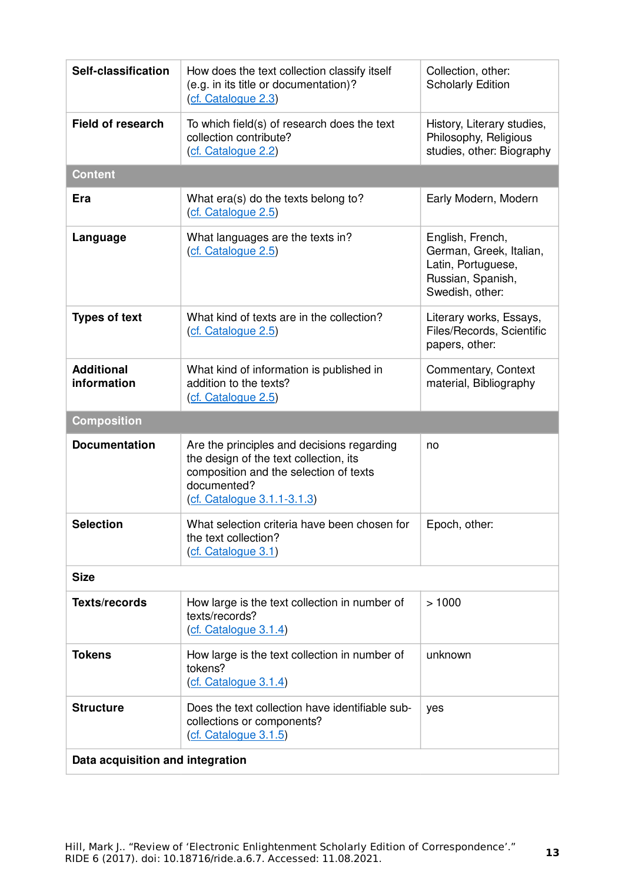| Self-classification              | How does the text collection classify itself<br>(e.g. in its title or documentation)?<br>(cf. Catalogue 2.3)                                                                 | Collection, other:<br><b>Scholarly Edition</b>                                                            |
|----------------------------------|------------------------------------------------------------------------------------------------------------------------------------------------------------------------------|-----------------------------------------------------------------------------------------------------------|
| <b>Field of research</b>         | To which field(s) of research does the text<br>collection contribute?<br>(cf. Catalogue 2.2)                                                                                 | History, Literary studies,<br>Philosophy, Religious<br>studies, other: Biography                          |
| <b>Content</b>                   |                                                                                                                                                                              |                                                                                                           |
| Era                              | What era(s) do the texts belong to?<br>(cf. Catalogue 2.5)                                                                                                                   | Early Modern, Modern                                                                                      |
| Language                         | What languages are the texts in?<br>(cf. Catalogue 2.5)                                                                                                                      | English, French,<br>German, Greek, Italian,<br>Latin, Portuguese,<br>Russian, Spanish,<br>Swedish, other: |
| <b>Types of text</b>             | What kind of texts are in the collection?<br>(cf. Catalogue 2.5)                                                                                                             | Literary works, Essays,<br>Files/Records, Scientific<br>papers, other:                                    |
| <b>Additional</b><br>information | What kind of information is published in<br>addition to the texts?<br>(cf. Catalogue 2.5)                                                                                    | Commentary, Context<br>material, Bibliography                                                             |
| <b>Composition</b>               |                                                                                                                                                                              |                                                                                                           |
| <b>Documentation</b>             | Are the principles and decisions regarding<br>the design of the text collection, its<br>composition and the selection of texts<br>documented?<br>(cf. Catalogue 3.1.1-3.1.3) | no                                                                                                        |
| <b>Selection</b>                 | What selection criteria have been chosen for<br>the text collection?<br>(cf. Catalogue 3.1)                                                                                  | Epoch, other:                                                                                             |
| <b>Size</b>                      |                                                                                                                                                                              |                                                                                                           |
| <b>Texts/records</b>             | How large is the text collection in number of<br>texts/records?<br>(cf. Catalogue 3.1.4)                                                                                     | >1000                                                                                                     |
| <b>Tokens</b>                    | How large is the text collection in number of<br>tokens?<br>(cf. Catalogue 3.1.4)                                                                                            | unknown                                                                                                   |
| <b>Structure</b>                 | Does the text collection have identifiable sub-<br>collections or components?<br>(cf. Catalogue 3.1.5)                                                                       | yes                                                                                                       |
| Data acquisition and integration |                                                                                                                                                                              |                                                                                                           |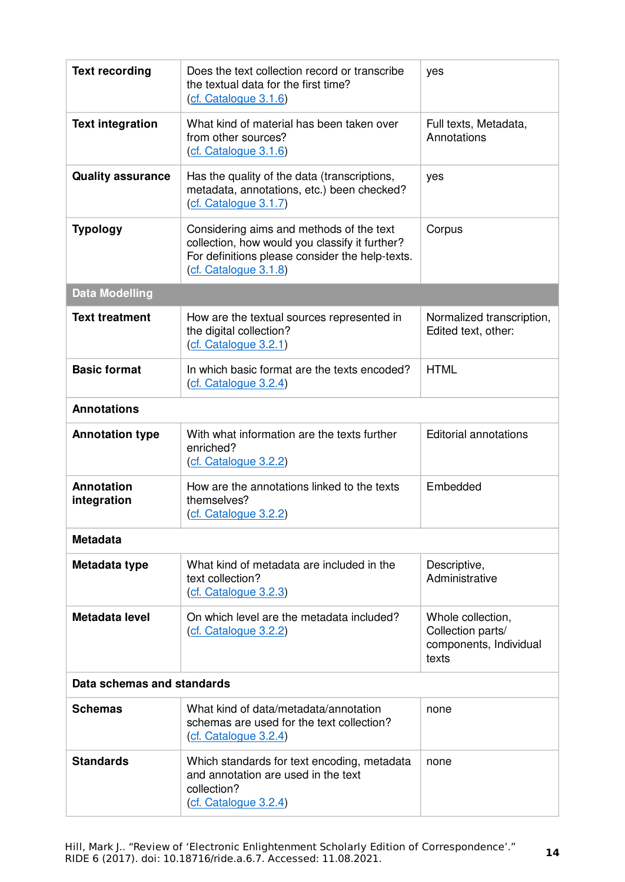| <b>Text recording</b>            | Does the text collection record or transcribe<br>the textual data for the first time?<br>(cf. Catalogue 3.1.6)                                                         | yes                                                                       |
|----------------------------------|------------------------------------------------------------------------------------------------------------------------------------------------------------------------|---------------------------------------------------------------------------|
| <b>Text integration</b>          | What kind of material has been taken over<br>from other sources?<br>(cf. Catalogue 3.1.6)                                                                              | Full texts, Metadata,<br>Annotations                                      |
| <b>Quality assurance</b>         | Has the quality of the data (transcriptions,<br>metadata, annotations, etc.) been checked?<br>(cf. Catalogue 3.1.7)                                                    | yes                                                                       |
| <b>Typology</b>                  | Considering aims and methods of the text<br>collection, how would you classify it further?<br>For definitions please consider the help-texts.<br>(cf. Catalogue 3.1.8) | Corpus                                                                    |
| <b>Data Modelling</b>            |                                                                                                                                                                        |                                                                           |
| <b>Text treatment</b>            | How are the textual sources represented in<br>the digital collection?<br>(cf. Catalogue 3.2.1)                                                                         | Normalized transcription,<br>Edited text, other:                          |
| <b>Basic format</b>              | In which basic format are the texts encoded?<br>(cf. Catalogue 3.2.4)                                                                                                  | <b>HTML</b>                                                               |
| <b>Annotations</b>               |                                                                                                                                                                        |                                                                           |
| <b>Annotation type</b>           | With what information are the texts further<br>enriched?<br>(cf. Catalogue 3.2.2)                                                                                      | <b>Editorial annotations</b>                                              |
| <b>Annotation</b><br>integration | How are the annotations linked to the texts<br>themselves?<br>(cf. Catalogue 3.2.2)                                                                                    | Embedded                                                                  |
| <b>Metadata</b>                  |                                                                                                                                                                        |                                                                           |
| Metadata type                    | What kind of metadata are included in the<br>text collection?<br>(cf. Catalogue 3.2.3)                                                                                 | Descriptive,<br>Administrative                                            |
| Metadata level                   | On which level are the metadata included?<br>(cf. Catalogue 3.2.2)                                                                                                     | Whole collection,<br>Collection parts/<br>components, Individual<br>texts |
| Data schemas and standards       |                                                                                                                                                                        |                                                                           |
| <b>Schemas</b>                   | What kind of data/metadata/annotation<br>schemas are used for the text collection?<br>(cf. Catalogue 3.2.4)                                                            | none                                                                      |
| <b>Standards</b>                 | Which standards for text encoding, metadata<br>and annotation are used in the text<br>collection?<br>(cf. Catalogue 3.2.4)                                             | none                                                                      |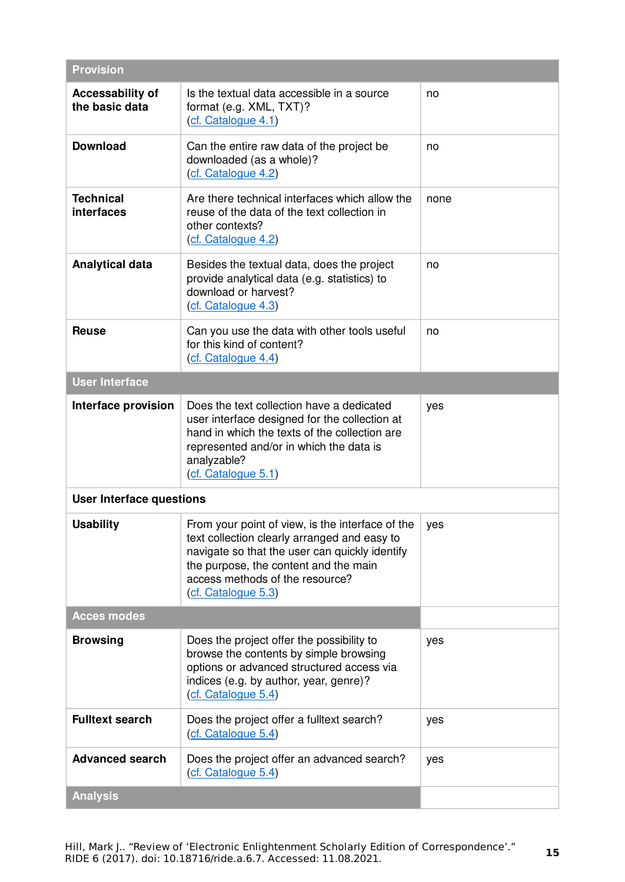| <b>Provision</b>                          |                                                                                                                                                                                                                                                       |      |
|-------------------------------------------|-------------------------------------------------------------------------------------------------------------------------------------------------------------------------------------------------------------------------------------------------------|------|
| <b>Accessability of</b><br>the basic data | Is the textual data accessible in a source<br>format (e.g. XML, TXT)?<br>(cf. Catalogue 4.1)                                                                                                                                                          | no   |
| <b>Download</b>                           | Can the entire raw data of the project be<br>downloaded (as a whole)?<br>(cf. Catalogue 4.2)                                                                                                                                                          | no   |
| <b>Technical</b><br>interfaces            | Are there technical interfaces which allow the<br>reuse of the data of the text collection in<br>other contexts?<br>(cf. Catalogue 4.2)                                                                                                               | none |
| <b>Analytical data</b>                    | Besides the textual data, does the project<br>provide analytical data (e.g. statistics) to<br>download or harvest?<br>(cf. Catalogue 4.3)                                                                                                             | no   |
| <b>Reuse</b>                              | Can you use the data with other tools useful<br>for this kind of content?<br>(cf. Catalogue 4.4)                                                                                                                                                      | no   |
| <b>User Interface</b>                     |                                                                                                                                                                                                                                                       |      |
| Interface provision                       | Does the text collection have a dedicated<br>user interface designed for the collection at<br>hand in which the texts of the collection are<br>represented and/or in which the data is<br>analyzable?<br>(cf. Catalogue 5.1)                          | yes  |
| <b>User Interface questions</b>           |                                                                                                                                                                                                                                                       |      |
| <b>Usability</b>                          | From your point of view, is the interface of the<br>text collection clearly arranged and easy to<br>navigate so that the user can quickly identify<br>the purpose, the content and the main<br>access methods of the resource?<br>(cf. Catalogue 5.3) | yes  |
| <b>Acces modes</b>                        |                                                                                                                                                                                                                                                       |      |
| <b>Browsing</b>                           | Does the project offer the possibility to<br>browse the contents by simple browsing<br>options or advanced structured access via<br>indices (e.g. by author, year, genre)?<br>(cf. Catalogue 5.4)                                                     | yes  |
| <b>Fulltext search</b>                    | Does the project offer a fulltext search?<br>(cf. Catalogue 5.4)                                                                                                                                                                                      | yes  |
| <b>Advanced search</b>                    | Does the project offer an advanced search?<br>(cf. Catalogue 5.4)                                                                                                                                                                                     | yes  |
| <b>Analysis</b>                           |                                                                                                                                                                                                                                                       |      |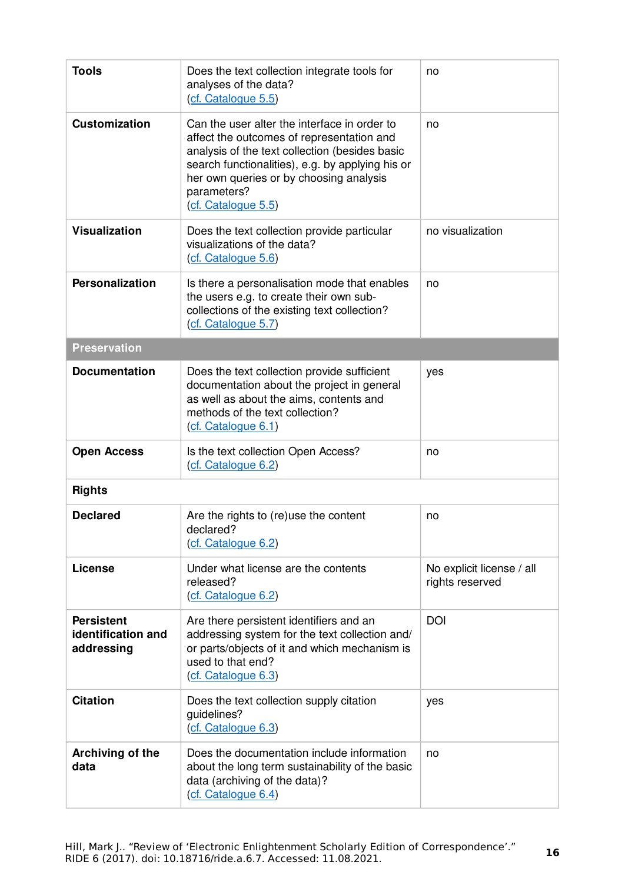| <b>Tools</b>                                          | Does the text collection integrate tools for<br>analyses of the data?<br>(cf. Catalogue 5.5)                                                                                                                                                                                     | no                                           |
|-------------------------------------------------------|----------------------------------------------------------------------------------------------------------------------------------------------------------------------------------------------------------------------------------------------------------------------------------|----------------------------------------------|
| <b>Customization</b>                                  | Can the user alter the interface in order to<br>affect the outcomes of representation and<br>analysis of the text collection (besides basic<br>search functionalities), e.g. by applying his or<br>her own queries or by choosing analysis<br>parameters?<br>(cf. Catalogue 5.5) | no                                           |
| <b>Visualization</b>                                  | Does the text collection provide particular<br>visualizations of the data?<br>(cf. Catalogue 5.6)                                                                                                                                                                                | no visualization                             |
| Personalization                                       | Is there a personalisation mode that enables<br>the users e.g. to create their own sub-<br>collections of the existing text collection?<br>(cf. Catalogue 5.7)                                                                                                                   | no                                           |
| <b>Preservation</b>                                   |                                                                                                                                                                                                                                                                                  |                                              |
| <b>Documentation</b>                                  | Does the text collection provide sufficient<br>documentation about the project in general<br>as well as about the aims, contents and<br>methods of the text collection?<br>(cf. Catalogue 6.1)                                                                                   | yes                                          |
| <b>Open Access</b>                                    | Is the text collection Open Access?<br>(cf. Catalogue 6.2)                                                                                                                                                                                                                       | no                                           |
| <b>Rights</b>                                         |                                                                                                                                                                                                                                                                                  |                                              |
| <b>Declared</b>                                       | Are the rights to (re)use the content<br>declared?<br>(cf. Catalogue 6.2)                                                                                                                                                                                                        | no                                           |
| License                                               | Under what license are the contents<br>released?<br>(cf. Catalogue 6.2)                                                                                                                                                                                                          | No explicit license / all<br>rights reserved |
| <b>Persistent</b><br>identification and<br>addressing | Are there persistent identifiers and an<br>addressing system for the text collection and/<br>or parts/objects of it and which mechanism is<br>used to that end?<br>(cf. Catalogue 6.3)                                                                                           | <b>DOI</b>                                   |
| <b>Citation</b>                                       | Does the text collection supply citation<br>quidelines?<br>(cf. Catalogue 6.3)                                                                                                                                                                                                   | yes                                          |
| Archiving of the<br>data                              | Does the documentation include information<br>about the long term sustainability of the basic<br>data (archiving of the data)?<br>(cf. Catalogue 6.4)                                                                                                                            | no                                           |